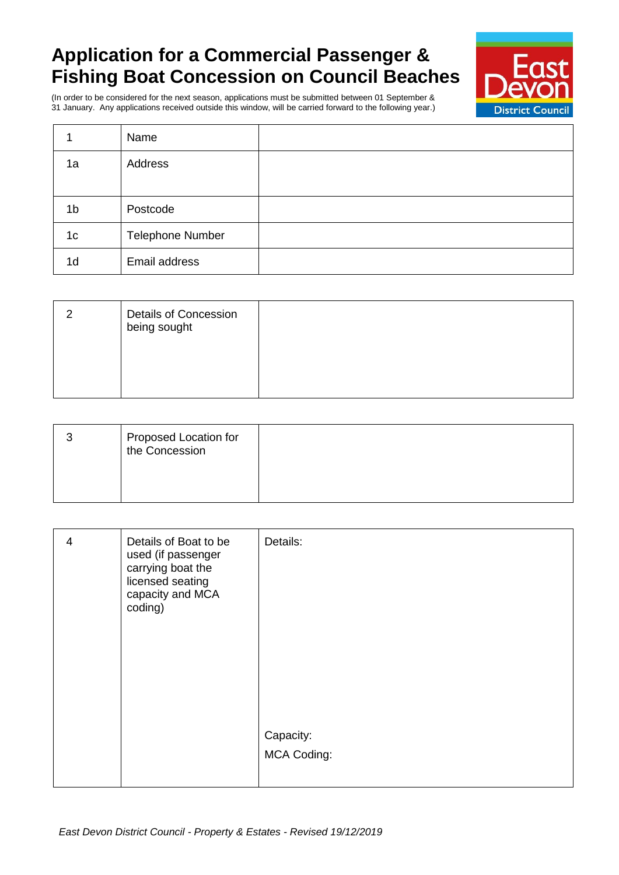## **Application for a Commercial Passenger & Fishing Boat Concession on Council Beaches**



(In order to be considered for the next season, applications must be submitted between 01 September & 31 January. Any applications received outside this window, will be carried forward to the following year.)

|                | Name                    |  |
|----------------|-------------------------|--|
| 1a             | Address                 |  |
|                |                         |  |
| 1 <sub>b</sub> | Postcode                |  |
| 1 <sub>c</sub> | <b>Telephone Number</b> |  |
| 1 <sub>d</sub> | Email address           |  |

| <b>Details of Concession</b><br>being sought |  |
|----------------------------------------------|--|
|                                              |  |

| Proposed Location for<br>the Concession |  |
|-----------------------------------------|--|
|                                         |  |

| Details of Boat to be<br>Details:<br>4<br>used (if passenger<br>carrying boat the<br>licensed seating<br>capacity and MCA<br>coding)<br>Capacity:<br>MCA Coding: |  |  |
|------------------------------------------------------------------------------------------------------------------------------------------------------------------|--|--|
|                                                                                                                                                                  |  |  |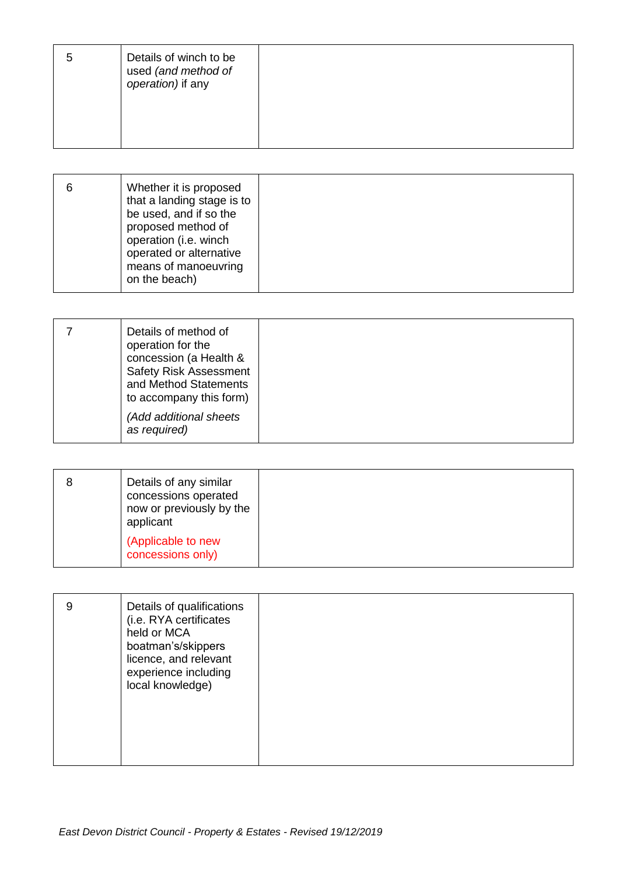| Details of winch to be<br>used (and method of<br>operation) if any |  |
|--------------------------------------------------------------------|--|
|                                                                    |  |

| Whether it is proposed<br>that a landing stage is to<br>be used, and if so the<br>proposed method of<br>operation (i.e. winch<br>operated or alternative<br>means of manoeuvring<br>on the beach) |  |
|---------------------------------------------------------------------------------------------------------------------------------------------------------------------------------------------------|--|
|---------------------------------------------------------------------------------------------------------------------------------------------------------------------------------------------------|--|

|  | Details of method of<br>operation for the<br>concession (a Health &<br><b>Safety Risk Assessment</b><br>and Method Statements<br>to accompany this form)<br>(Add additional sheets<br>as required) |  |
|--|----------------------------------------------------------------------------------------------------------------------------------------------------------------------------------------------------|--|
|--|----------------------------------------------------------------------------------------------------------------------------------------------------------------------------------------------------|--|

| Details of any similar<br>concessions operated<br>now or previously by the<br>applicant |  |
|-----------------------------------------------------------------------------------------|--|
| (Applicable to new<br>concessions only)                                                 |  |

| Details of qualifications<br>9<br>(i.e. RYA certificates<br>held or MCA<br>boatman's/skippers<br>licence, and relevant<br>experience including<br>local knowledge) |  |
|--------------------------------------------------------------------------------------------------------------------------------------------------------------------|--|
|--------------------------------------------------------------------------------------------------------------------------------------------------------------------|--|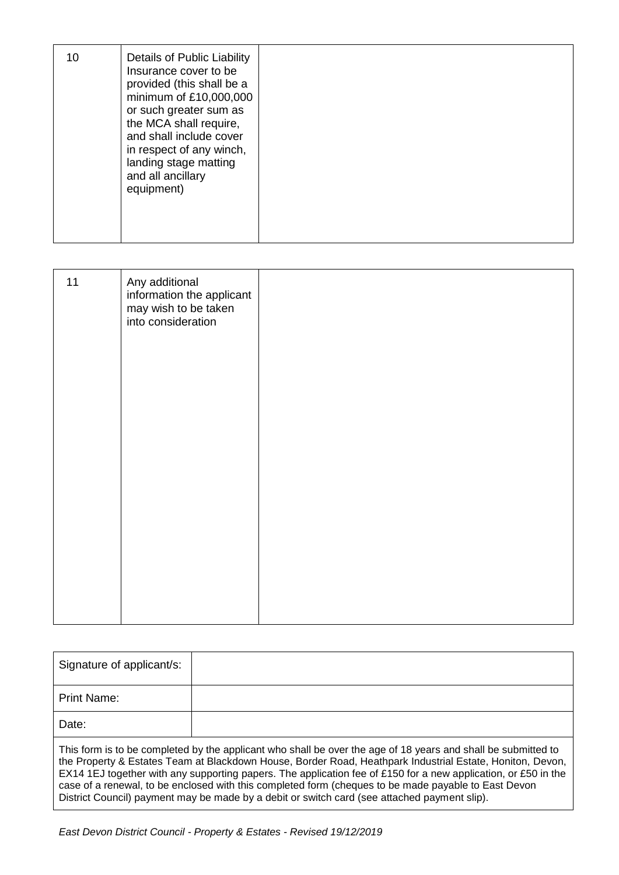| 10 | Details of Public Liability<br>Insurance cover to be<br>provided (this shall be a<br>minimum of £10,000,000<br>or such greater sum as<br>the MCA shall require,<br>and shall include cover<br>in respect of any winch,<br>landing stage matting<br>and all ancillary<br>equipment) |  |
|----|------------------------------------------------------------------------------------------------------------------------------------------------------------------------------------------------------------------------------------------------------------------------------------|--|
|    |                                                                                                                                                                                                                                                                                    |  |

| 11 | Any additional<br>information the applicant<br>may wish to be taken<br>into consideration |  |
|----|-------------------------------------------------------------------------------------------|--|
|    |                                                                                           |  |
|    |                                                                                           |  |

| Signature of applicant/s:                                                                                                                                                                                                                                                                                                                                                                                                                                                                                                                            |  |
|------------------------------------------------------------------------------------------------------------------------------------------------------------------------------------------------------------------------------------------------------------------------------------------------------------------------------------------------------------------------------------------------------------------------------------------------------------------------------------------------------------------------------------------------------|--|
| Print Name:                                                                                                                                                                                                                                                                                                                                                                                                                                                                                                                                          |  |
| Date:                                                                                                                                                                                                                                                                                                                                                                                                                                                                                                                                                |  |
| This form is to be completed by the applicant who shall be over the age of 18 years and shall be submitted to<br>the Property & Estates Team at Blackdown House, Border Road, Heathpark Industrial Estate, Honiton, Devon,<br>EX14 1EJ together with any supporting papers. The application fee of £150 for a new application, or £50 in the<br>case of a renewal, to be enclosed with this completed form (cheques to be made payable to East Devon<br>District Council) payment may be made by a debit or switch card (see attached payment slip). |  |